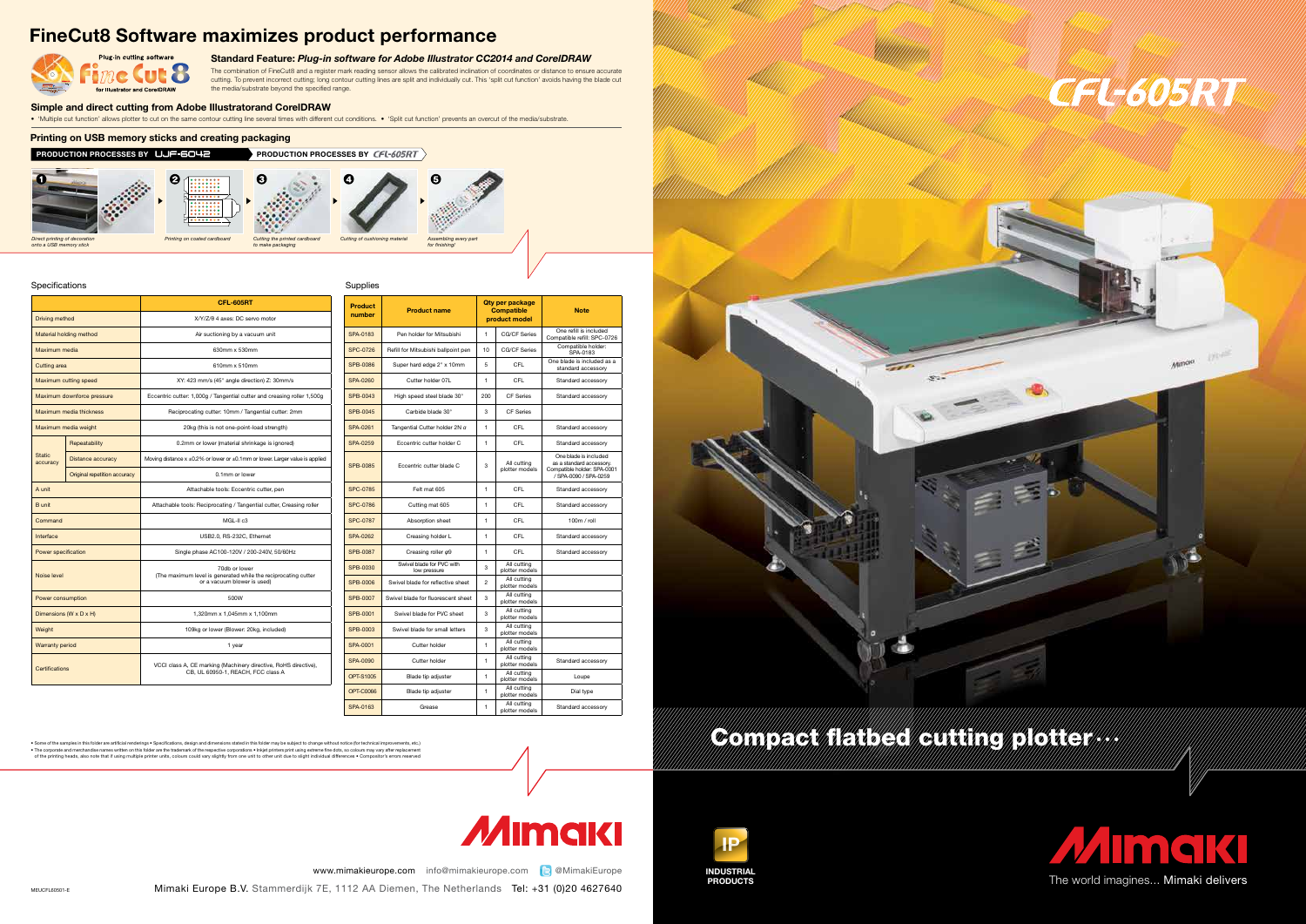





• Some of the samples in this folder are artificial renderings • Specifications, design and dimensions stated in this folder may be subject to change without notice (for technical improvements)<br>• The comorate and merchandi • The corporate and merchandise names written on this folder are the trademark of the respective corporations • Inkjet printers print using extreme fine dots, so colours may vary after replacement of the printing heads, also note that if using multiple printer units, colours could vary slightly from one unit to other unit due to slight individual differences • Compositor's errors reserved in the compositor's errors



### Standard Feature: *Plug-in software for Adobe Illustrator CC2014 and CorelDRAW*

The combination of FineCut8 and a register mark reading sensor allows the calibrated inclination of coordinates or distance to ensure accurate cutting. To prevent incorrect cutting; long contour cutting lines are split and individually cut. This 'split cut function' avoids having the blade cut the media/substrate beyond the specified range.

### Simple and direct cutting from Adobe Illustratorand CorelDRAW

• 'Multiple cut function' allows plotter to cut on the same contour cutting line several times with different cut conditions. • 'Split cut function' prevents an overcut of the media/substrate.

### Printing on USB memory sticks and creating packaging

# FineCut8 Software maximizes product performance



### Specifications

|                           |                              | CFL-605RT                                                                                                      |  |  |
|---------------------------|------------------------------|----------------------------------------------------------------------------------------------------------------|--|--|
| <b>Driving method</b>     |                              | X/Y/Z/0 4 axes: DC servo motor                                                                                 |  |  |
| Material holding method   |                              | Air suctioning by a vacuum unit                                                                                |  |  |
| Maximum media             |                              | 630mm x 530mm                                                                                                  |  |  |
| Cutting area              |                              | 610mm x 510mm                                                                                                  |  |  |
| Maximum cutting speed     |                              | XY: 423 mm/s (45° angle direction) Z: 30mm/s                                                                   |  |  |
|                           | Maximum downforce pressure   | Eccentric cutter: 1,000g / Tangential cutter and creasing roller 1,500g                                        |  |  |
| Maximum media thickness   |                              | Reciprocating cutter: 10mm / Tangential cutter: 2mm                                                            |  |  |
| Maximum media weight      |                              | 20kg (this is not one-point-load strength)                                                                     |  |  |
|                           | Repeatability                | 0.2mm or lower (material shrinkage is ignored)                                                                 |  |  |
| <b>Static</b><br>accuracy | Distance accuracy            | Moving distance $x \pm 0.2\%$ or lower or $\pm 0.1$ mm or lower. Larger value is applied                       |  |  |
|                           | Original repetition accuracy | 0.1mm or lower                                                                                                 |  |  |
| A unit                    |                              | Attachable tools: Eccentric cutter, pen                                                                        |  |  |
| <b>B</b> unit             |                              | Attachable tools: Reciprocating / Tangential cutter, Creasing roller                                           |  |  |
| Command                   |                              | $MGL$ -II $c3$                                                                                                 |  |  |
| Interface                 |                              | USB2.0, RS-232C, Ethernet                                                                                      |  |  |
| Power specification       |                              | Single phase AC100-120V / 200-240V, 50/60Hz                                                                    |  |  |
| Noise level               |                              | 70db or lower<br>(The maximum level is generated while the reciprocating cutter<br>or a vacuum blower is used) |  |  |
| Power consumption         |                              | 500W                                                                                                           |  |  |
| Dimensions (W x D x H)    |                              | 1,320mm x 1,045mm x 1,100mm                                                                                    |  |  |
| Weight                    |                              | 109kg or lower (Blower: 20kg, included)                                                                        |  |  |
| <b>Warranty period</b>    |                              | 1 year                                                                                                         |  |  |
| Certifications            |                              | VCCI class A, CE marking (Machinery directive, RoHS directive),<br>CB, UL 60950-1, REACH, FCC class A          |  |  |

| Supplies |  |  |
|----------|--|--|

| <b>Product</b><br>number | <b>Product name</b>                       | <b>Qty per package</b><br><b>Compatible</b><br>product model |                               | <b>Note</b>                                                                                               |
|--------------------------|-------------------------------------------|--------------------------------------------------------------|-------------------------------|-----------------------------------------------------------------------------------------------------------|
| SPA-0183                 | Pen holder for Mitsubishi                 | 1                                                            | CG/CF Series                  | One refill is included<br>Compatible refill: SPC-0726                                                     |
| <b>SPC-0726</b>          | Refill for Mitsubishi ballpoint pen       | 10                                                           | CG/CF Series                  | Compatible holder:<br>SPA-0183                                                                            |
| SPB-0086                 | Super hard edge 2° x 10mm                 | 5                                                            | <b>CFL</b>                    | One blade is included as a<br>standard accessory                                                          |
| SPA-0260                 | Cutter holder 07L                         | 1                                                            | CFL                           | Standard accessory                                                                                        |
| SPB-0043                 | High speed steel blade 30°                | 200                                                          | <b>CF Series</b>              | Standard accessory                                                                                        |
| <b>SPB-0045</b>          | Carbide blade 30°                         | 3                                                            | <b>CF Series</b>              |                                                                                                           |
| SPA-0261                 | Tangential Cutter holder 2N a             | 1                                                            | CFL                           | Standard accessory                                                                                        |
| <b>SPA-0259</b>          | Eccentric cutter holder C                 | 1                                                            | <b>CFL</b>                    | Standard accessory                                                                                        |
| SPB-0085                 | Eccentric cutter blade C                  | 3                                                            | All cutting<br>plotter models | One blade is included<br>as a standard accessory.<br>Compatible holder: SPA-0001<br>/ SPA-0090 / SPA-0259 |
| <b>SPC-0785</b>          | Felt mat 605                              | 1                                                            | <b>CFL</b>                    | Standard accessory                                                                                        |
| <b>SPC-0786</b>          | Cutting mat 605                           | $\blacksquare$                                               | CFL                           | Standard accessory                                                                                        |
| <b>SPC-0787</b>          | Absorption sheet                          | 1                                                            | CFL                           | $100m /$ roll                                                                                             |
| SPA-0262                 | Creasing holder L                         | $\mathbf{1}$                                                 | <b>CFL</b>                    | Standard accessory                                                                                        |
| <b>SPB-0087</b>          | Creasing roller $\varphi$ 9               | 1                                                            | <b>CFL</b>                    | Standard accessory                                                                                        |
| <b>SPB-0030</b>          | Swivel blade for PVC with<br>low pressure | 3                                                            | All cutting<br>plotter models |                                                                                                           |
| <b>SPB-0006</b>          | Swivel blade for reflective sheet         | $\overline{c}$                                               | All cutting<br>plotter models |                                                                                                           |
| <b>SPB-0007</b>          | Swivel blade for fluorescent sheet        | 3                                                            | All cutting<br>plotter models |                                                                                                           |
| <b>SPB-0001</b>          | Swivel blade for PVC sheet                | 3                                                            | All cutting<br>plotter models |                                                                                                           |
| <b>SPB-0003</b>          | Swivel blade for small letters            | 3                                                            | All cuttina<br>plotter models |                                                                                                           |
| <b>SPA-0001</b>          | Cutter holder                             | $\mathbf{1}$                                                 | All cutting<br>plotter models |                                                                                                           |
| SPA-0090                 | Cutter holder                             | $\mathbf{1}$                                                 | All cutting<br>plotter models | Standard accessory                                                                                        |
| <b>OPT-S1005</b>         | Blade tip adjuster                        | 1                                                            | All cuttina<br>plotter models | Loupe                                                                                                     |
| <b>OPT-C0066</b>         | Blade tip adjuster                        | 1                                                            | All cutting<br>plotter models | Dial type                                                                                                 |
| SPA-0163                 | Grease                                    | 1                                                            | All cutting<br>plotter models | Standard accessory                                                                                        |